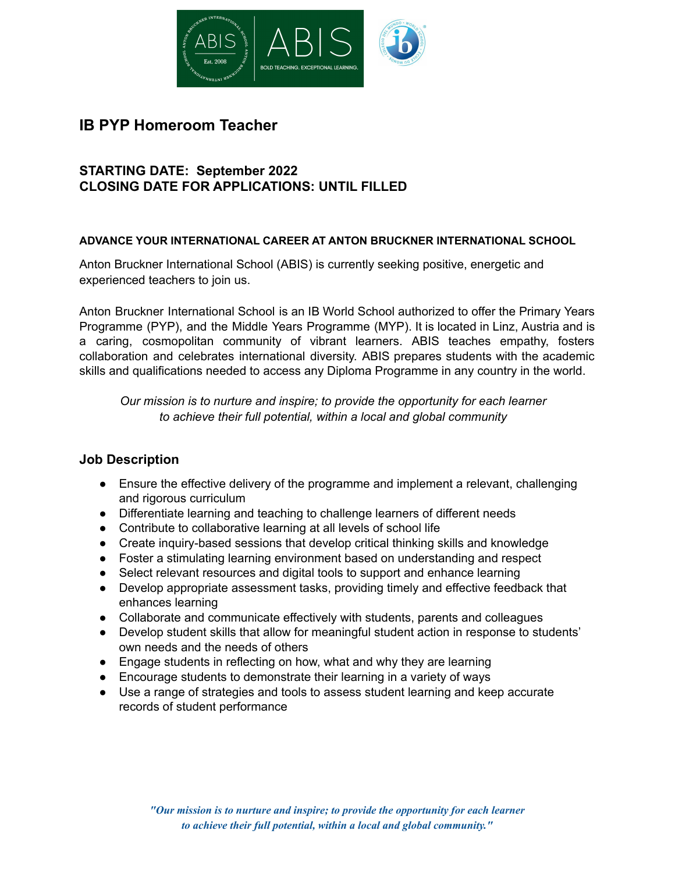

# **IB PYP Homeroom Teacher**

## **STARTING DATE: September 2022 CLOSING DATE FOR APPLICATIONS: UNTIL FILLED**

#### **ADVANCE YOUR INTERNATIONAL CAREER AT ANTON BRUCKNER INTERNATIONAL SCHOOL**

Anton Bruckner International School (ABIS) is currently seeking positive, energetic and experienced teachers to join us.

Anton Bruckner International School is an IB World School authorized to offer the Primary Years Programme (PYP), and the Middle Years Programme (MYP). It is located in Linz, Austria and is a caring, cosmopolitan community of vibrant learners. ABIS teaches empathy, fosters collaboration and celebrates international diversity. ABIS prepares students with the academic skills and qualifications needed to access any Diploma Programme in any country in the world.

*Our mission is to nurture and inspire; to provide the opportunity for each learner to achieve their full potential, within a local and global community*

### **Job Description**

- Ensure the effective delivery of the programme and implement a relevant, challenging and rigorous curriculum
- Differentiate learning and teaching to challenge learners of different needs
- Contribute to collaborative learning at all levels of school life
- Create inquiry-based sessions that develop critical thinking skills and knowledge
- Foster a stimulating learning environment based on understanding and respect
- Select relevant resources and digital tools to support and enhance learning
- Develop appropriate assessment tasks, providing timely and effective feedback that enhances learning
- Collaborate and communicate effectively with students, parents and colleagues
- Develop student skills that allow for meaningful student action in response to students' own needs and the needs of others
- Engage students in reflecting on how, what and why they are learning
- Encourage students to demonstrate their learning in a variety of ways
- Use a range of strategies and tools to assess student learning and keep accurate records of student performance